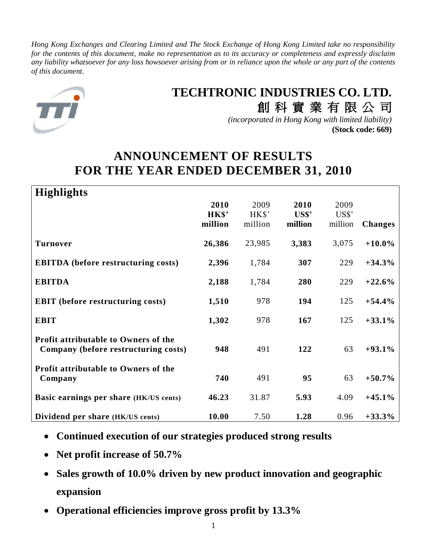*Hong Kong Exchanges and Clearing Limited and The Stock Exchange of Hong Kong Limited take no responsibility for the contents of this document, make no representation as to its accuracy or completeness and expressly disclaim any liability whatsoever for any loss howsoever arising from or in reliance upon the whole or any part of the contents of this document.*



# **TECHTRONIC INDUSTRIES CO. LTD.**

創 科 實 業 有 限 公 司 *(incorporated in Hong Kong with limited liability)* **(Stock code: 669)**

# **ANNOUNCEMENT OF RESULTS FOR THE YEAR ENDED DECEMBER 31, 2010**

| <b>Highlights</b>                                                                   |                          |                         |                          |                                        |                |
|-------------------------------------------------------------------------------------|--------------------------|-------------------------|--------------------------|----------------------------------------|----------------|
|                                                                                     | 2010<br>HK\$'<br>million | 2009<br>HKS'<br>million | 2010<br>US\$'<br>million | 2009<br>$\overline{U}$ S\$'<br>million | <b>Changes</b> |
| <b>Turnover</b>                                                                     | 26,386                   | 23,985                  | 3,383                    | 3,075                                  | $+10.0\%$      |
| <b>EBITDA</b> (before restructuring costs)                                          | 2,396                    | 1,784                   | 307                      | 229                                    | $+34.3%$       |
| <b>EBITDA</b>                                                                       | 2,188                    | 1,784                   | 280                      | 229                                    | $+22.6%$       |
| <b>EBIT</b> (before restructuring costs)                                            | 1,510                    | 978                     | 194                      | 125                                    | $+54.4%$       |
| <b>EBIT</b>                                                                         | 1,302                    | 978                     | 167                      | 125                                    | $+33.1%$       |
| <b>Profit attributable to Owners of the</b><br>Company (before restructuring costs) | 948                      | 491                     | 122                      | 63                                     | $+93.1%$       |
| <b>Profit attributable to Owners of the</b><br>Company                              | 740                      | 491                     | 95                       | 63                                     | $+50.7\%$      |
| Basic earnings per share (HK/US cents)                                              | 46.23                    | 31.87                   | 5.93                     | 4.09                                   | $+45.1%$       |
| Dividend per share (HK/US cents)                                                    | 10.00                    | 7.50                    | 1.28                     | 0.96                                   | $+33.3%$       |

- **Continued execution of our strategies produced strong results**
- **Net profit increase of 50.7%**
- **Sales growth of 10.0% driven by new product innovation and geographic expansion**
- **Operational efficiencies improve gross profit by 13.3%**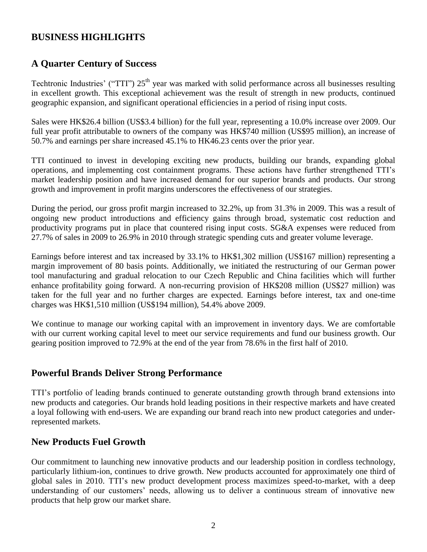# **BUSINESS HIGHLIGHTS**

# **A Quarter Century of Success**

Techtronic Industries' ("TTI") 25<sup>th</sup> year was marked with solid performance across all businesses resulting in excellent growth. This exceptional achievement was the result of strength in new products, continued geographic expansion, and significant operational efficiencies in a period of rising input costs.

Sales were HK\$26.4 billion (US\$3.4 billion) for the full year, representing a 10.0% increase over 2009. Our full year profit attributable to owners of the company was HK\$740 million (US\$95 million), an increase of 50.7% and earnings per share increased 45.1% to HK46.23 cents over the prior year.

TTI continued to invest in developing exciting new products, building our brands, expanding global operations, and implementing cost containment programs. These actions have further strengthened TTI"s market leadership position and have increased demand for our superior brands and products. Our strong growth and improvement in profit margins underscores the effectiveness of our strategies.

During the period, our gross profit margin increased to 32.2%, up from 31.3% in 2009. This was a result of ongoing new product introductions and efficiency gains through broad, systematic cost reduction and productivity programs put in place that countered rising input costs. SG&A expenses were reduced from 27.7% of sales in 2009 to 26.9% in 2010 through strategic spending cuts and greater volume leverage.

Earnings before interest and tax increased by 33.1% to HK\$1,302 million (US\$167 million) representing a margin improvement of 80 basis points. Additionally, we initiated the restructuring of our German power tool manufacturing and gradual relocation to our Czech Republic and China facilities which will further enhance profitability going forward. A non-recurring provision of HK\$208 million (US\$27 million) was taken for the full year and no further charges are expected. Earnings before interest, tax and one-time charges was HK\$1,510 million (US\$194 million), 54.4% above 2009.

We continue to manage our working capital with an improvement in inventory days. We are comfortable with our current working capital level to meet our service requirements and fund our business growth. Our gearing position improved to 72.9% at the end of the year from 78.6% in the first half of 2010.

# **Powerful Brands Deliver Strong Performance**

TTI"s portfolio of leading brands continued to generate outstanding growth through brand extensions into new products and categories. Our brands hold leading positions in their respective markets and have created a loyal following with end-users. We are expanding our brand reach into new product categories and underrepresented markets.

## **New Products Fuel Growth**

Our commitment to launching new innovative products and our leadership position in cordless technology, particularly lithium-ion, continues to drive growth. New products accounted for approximately one third of global sales in 2010. TTI"s new product development process maximizes speed-to-market, with a deep understanding of our customers' needs, allowing us to deliver a continuous stream of innovative new products that help grow our market share.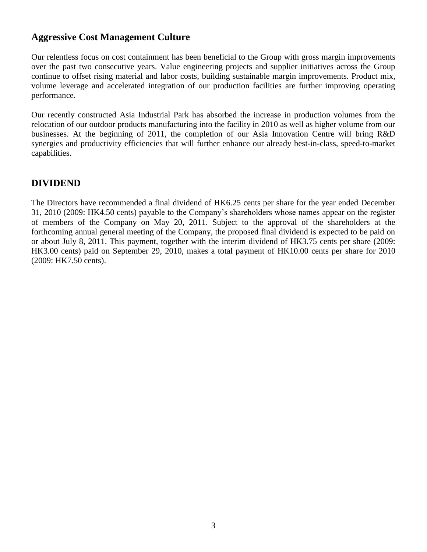### **Aggressive Cost Management Culture**

Our relentless focus on cost containment has been beneficial to the Group with gross margin improvements over the past two consecutive years. Value engineering projects and supplier initiatives across the Group continue to offset rising material and labor costs, building sustainable margin improvements. Product mix, volume leverage and accelerated integration of our production facilities are further improving operating performance.

Our recently constructed Asia Industrial Park has absorbed the increase in production volumes from the relocation of our outdoor products manufacturing into the facility in 2010 as well as higher volume from our businesses. At the beginning of 2011, the completion of our Asia Innovation Centre will bring R&D synergies and productivity efficiencies that will further enhance our already best-in-class, speed-to-market capabilities.

### **DIVIDEND**

The Directors have recommended a final dividend of HK6.25 cents per share for the year ended December 31, 2010 (2009: HK4.50 cents) payable to the Company"s shareholders whose names appear on the register of members of the Company on May 20, 2011. Subject to the approval of the shareholders at the forthcoming annual general meeting of the Company, the proposed final dividend is expected to be paid on or about July 8, 2011. This payment, together with the interim dividend of HK3.75 cents per share (2009: HK3.00 cents) paid on September 29, 2010, makes a total payment of HK10.00 cents per share for 2010 (2009: HK7.50 cents).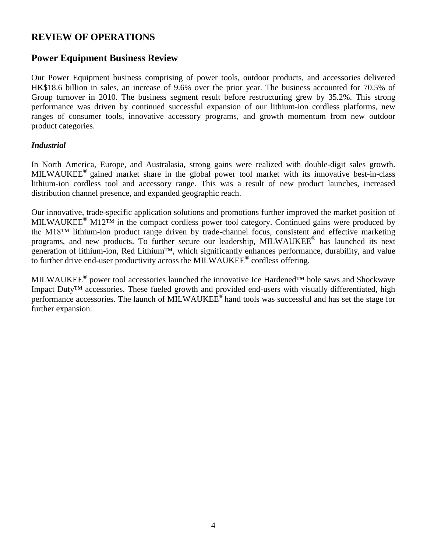## **REVIEW OF OPERATIONS**

### **Power Equipment Business Review**

Our Power Equipment business comprising of power tools, outdoor products, and accessories delivered HK\$18.6 billion in sales, an increase of 9.6% over the prior year. The business accounted for 70.5% of Group turnover in 2010. The business segment result before restructuring grew by 35.2%. This strong performance was driven by continued successful expansion of our lithium-ion cordless platforms, new ranges of consumer tools, innovative accessory programs, and growth momentum from new outdoor product categories.

### *Industrial*

In North America, Europe, and Australasia, strong gains were realized with double-digit sales growth. MILWAUKEE<sup>®</sup> gained market share in the global power tool market with its innovative best-in-class lithium-ion cordless tool and accessory range. This was a result of new product launches, increased distribution channel presence, and expanded geographic reach.

Our innovative, trade-specific application solutions and promotions further improved the market position of MILWAUKEE<sup>®</sup> M12<sup>TM</sup> in the compact cordless power tool category. Continued gains were produced by the M18™ lithium-ion product range driven by trade-channel focus, consistent and effective marketing programs, and new products. To further secure our leadership, MILWAUKEE® has launched its next generation of lithium-ion, Red Lithium<sup>™</sup>, which significantly enhances performance, durability, and value to further drive end-user productivity across the MILWAUKEE<sup>®</sup> cordless offering.

MILWAUKEE<sup>®</sup> power tool accessories launched the innovative Ice Hardened™ hole saws and Shockwave Impact Duty™ accessories. These fueled growth and provided end-users with visually differentiated, high performance accessories. The launch of MILWAUKEE<sup>®</sup> hand tools was successful and has set the stage for further expansion.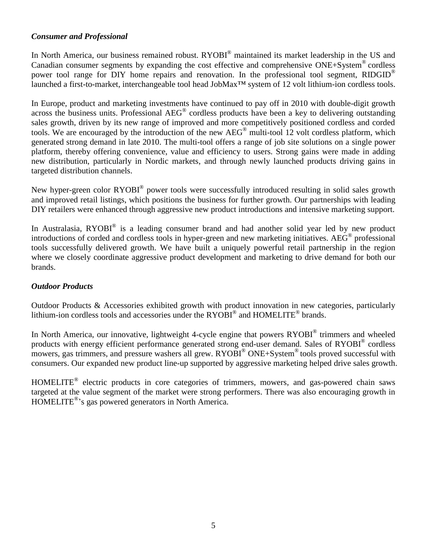### *Consumer and Professional*

In North America, our business remained robust. RYOBI® maintained its market leadership in the US and Canadian consumer segments by expanding the cost effective and comprehensive ONE+System<sup>®</sup> cordless power tool range for DIY home repairs and renovation. In the professional tool segment,  $RIDGID^{\circledcirc}$ launched a first-to-market, interchangeable tool head JobMax™ system of 12 volt lithium-ion cordless tools.

In Europe, product and marketing investments have continued to pay off in 2010 with double-digit growth across the business units. Professional AEG® cordless products have been a key to delivering outstanding sales growth, driven by its new range of improved and more competitively positioned cordless and corded tools. We are encouraged by the introduction of the new AEG® multi-tool 12 volt cordless platform, which generated strong demand in late 2010. The multi-tool offers a range of job site solutions on a single power platform, thereby offering convenience, value and efficiency to users. Strong gains were made in adding new distribution, particularly in Nordic markets, and through newly launched products driving gains in targeted distribution channels.

New hyper-green color RYOBI<sup>®</sup> power tools were successfully introduced resulting in solid sales growth and improved retail listings, which positions the business for further growth. Our partnerships with leading DIY retailers were enhanced through aggressive new product introductions and intensive marketing support.

In Australasia, RYOBI® is a leading consumer brand and had another solid year led by new product introductions of corded and cordless tools in hyper-green and new marketing initiatives. AEG® professional tools successfully delivered growth. We have built a uniquely powerful retail partnership in the region where we closely coordinate aggressive product development and marketing to drive demand for both our brands.

### *Outdoor Products*

Outdoor Products & Accessories exhibited growth with product innovation in new categories, particularly lithium-ion cordless tools and accessories under the  $RYO\overline{BI}^{\otimes}$  and  $HOMELITE^{\otimes}$  brands.

In North America, our innovative, lightweight 4-cycle engine that powers RYOBI® trimmers and wheeled products with energy efficient performance generated strong end-user demand. Sales of RYOBI® cordless mowers, gas trimmers, and pressure washers all grew. RYOBI® ONE+System® tools proved successful with consumers. Our expanded new product line-up supported by aggressive marketing helped drive sales growth.

HOMELITE<sup>®</sup> electric products in core categories of trimmers, mowers, and gas-powered chain saws targeted at the value segment of the market were strong performers. There was also encouraging growth in HOMELITE® 's gas powered generators in North America.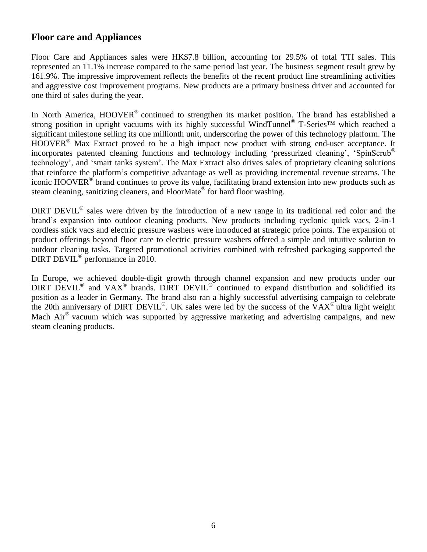# **Floor care and Appliances**

Floor Care and Appliances sales were HK\$7.8 billion, accounting for 29.5% of total TTI sales. This represented an 11.1% increase compared to the same period last year. The business segment result grew by 161.9%. The impressive improvement reflects the benefits of the recent product line streamlining activities and aggressive cost improvement programs. New products are a primary business driver and accounted for one third of sales during the year.

In North America, HOOVER® continued to strengthen its market position. The brand has established a strong position in upright vacuums with its highly successful WindTunnel® T-Series™ which reached a significant milestone selling its one millionth unit, underscoring the power of this technology platform. The HOOVER<sup>®</sup> Max Extract proved to be a high impact new product with strong end-user acceptance. It incorporates patented cleaning functions and technology including "pressurized cleaning", "SpinScrub® technology", and "smart tanks system". The Max Extract also drives sales of proprietary cleaning solutions that reinforce the platform"s competitive advantage as well as providing incremental revenue streams. The iconic HOOVER<sup>®</sup> brand continues to prove its value, facilitating brand extension into new products such as steam cleaning, sanitizing cleaners, and FloorMate® for hard floor washing.

DIRT DEVIL<sup>®</sup> sales were driven by the introduction of a new range in its traditional red color and the brand"s expansion into outdoor cleaning products. New products including cyclonic quick vacs, 2-in-1 cordless stick vacs and electric pressure washers were introduced at strategic price points. The expansion of product offerings beyond floor care to electric pressure washers offered a simple and intuitive solution to outdoor cleaning tasks. Targeted promotional activities combined with refreshed packaging supported the DIRT DEVIL<sup>®</sup> performance in 2010.

In Europe, we achieved double-digit growth through channel expansion and new products under our DIRT  $\overrightarrow{DEVIL}^{\otimes}$  and  $VAX^{\otimes}$  brands. DIRT  $DEVIL^{\otimes}$  continued to expand distribution and solidified its position as a leader in Germany. The brand also ran a highly successful advertising campaign to celebrate the 20th anniversary of DIRT DEVIL<sup>®</sup>. UK sales were led by the success of the  $VAX^{\circ}$  ultra light weight Mach Air<sup>®</sup> vacuum which was supported by aggressive marketing and advertising campaigns, and new steam cleaning products.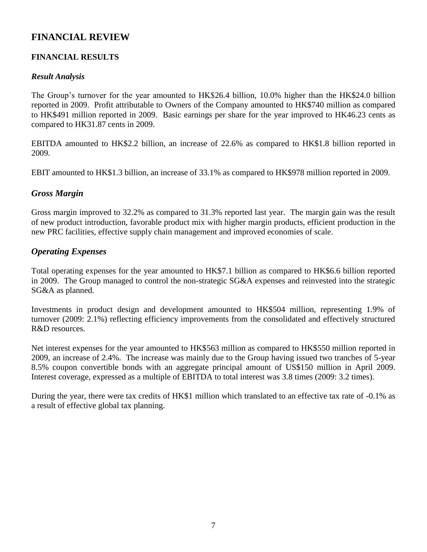# **FINANCIAL REVIEW**

### **FINANCIAL RESULTS**

### *Result Analysis*

The Group's turnover for the year amounted to HK\$26.4 billion, 10.0% higher than the HK\$24.0 billion reported in 2009. Profit attributable to Owners of the Company amounted to HK\$740 million as compared to HK\$491 million reported in 2009. Basic earnings per share for the year improved to HK46.23 cents as compared to HK31.87 cents in 2009.

EBITDA amounted to HK\$2.2 billion, an increase of 22.6% as compared to HK\$1.8 billion reported in 2009.

EBIT amounted to HK\$1.3 billion, an increase of 33.1% as compared to HK\$978 million reported in 2009.

### *Gross Margin*

Gross margin improved to 32.2% as compared to 31.3% reported last year. The margin gain was the result of new product introduction, favorable product mix with higher margin products, efficient production in the new PRC facilities, effective supply chain management and improved economies of scale.

### *Operating Expenses*

Total operating expenses for the year amounted to HK\$7.1 billion as compared to HK\$6.6 billion reported in 2009. The Group managed to control the non-strategic SG&A expenses and reinvested into the strategic SG&A as planned.

Investments in product design and development amounted to HK\$504 million, representing 1.9% of turnover (2009: 2.1%) reflecting efficiency improvements from the consolidated and effectively structured R&D resources.

Net interest expenses for the year amounted to HK\$563 million as compared to HK\$550 million reported in 2009, an increase of 2.4%. The increase was mainly due to the Group having issued two tranches of 5-year 8.5% coupon convertible bonds with an aggregate principal amount of US\$150 million in April 2009. Interest coverage, expressed as a multiple of EBITDA to total interest was 3.8 times (2009: 3.2 times).

During the year, there were tax credits of HK\$1 million which translated to an effective tax rate of -0.1% as a result of effective global tax planning.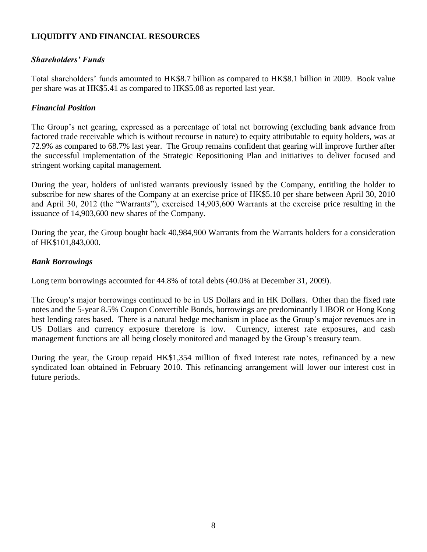### **LIQUIDITY AND FINANCIAL RESOURCES**

### *Shareholders' Funds*

Total shareholders' funds amounted to HK\$8.7 billion as compared to HK\$8.1 billion in 2009. Book value per share was at HK\$5.41 as compared to HK\$5.08 as reported last year.

### *Financial Position*

The Group"s net gearing, expressed as a percentage of total net borrowing (excluding bank advance from factored trade receivable which is without recourse in nature) to equity attributable to equity holders, was at 72.9% as compared to 68.7% last year. The Group remains confident that gearing will improve further after the successful implementation of the Strategic Repositioning Plan and initiatives to deliver focused and stringent working capital management.

During the year, holders of unlisted warrants previously issued by the Company, entitling the holder to subscribe for new shares of the Company at an exercise price of HK\$5.10 per share between April 30, 2010 and April 30, 2012 (the "Warrants"), exercised 14,903,600 Warrants at the exercise price resulting in the issuance of 14,903,600 new shares of the Company.

During the year, the Group bought back 40,984,900 Warrants from the Warrants holders for a consideration of HK\$101,843,000.

#### *Bank Borrowings*

Long term borrowings accounted for 44.8% of total debts (40.0% at December 31, 2009).

The Group"s major borrowings continued to be in US Dollars and in HK Dollars. Other than the fixed rate notes and the 5-year 8.5% Coupon Convertible Bonds, borrowings are predominantly LIBOR or Hong Kong best lending rates based. There is a natural hedge mechanism in place as the Group"s major revenues are in US Dollars and currency exposure therefore is low. Currency, interest rate exposures, and cash management functions are all being closely monitored and managed by the Group"s treasury team.

During the year, the Group repaid HK\$1,354 million of fixed interest rate notes, refinanced by a new syndicated loan obtained in February 2010. This refinancing arrangement will lower our interest cost in future periods.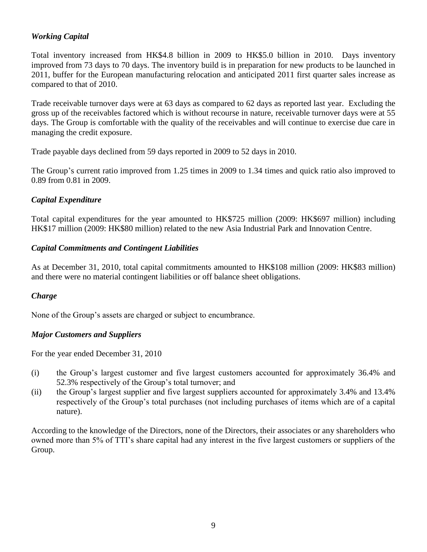### *Working Capital*

Total inventory increased from HK\$4.8 billion in 2009 to HK\$5.0 billion in 2010. Days inventory improved from 73 days to 70 days. The inventory build is in preparation for new products to be launched in 2011, buffer for the European manufacturing relocation and anticipated 2011 first quarter sales increase as compared to that of 2010.

Trade receivable turnover days were at 63 days as compared to 62 days as reported last year. Excluding the gross up of the receivables factored which is without recourse in nature, receivable turnover days were at 55 days. The Group is comfortable with the quality of the receivables and will continue to exercise due care in managing the credit exposure.

Trade payable days declined from 59 days reported in 2009 to 52 days in 2010.

The Group"s current ratio improved from 1.25 times in 2009 to 1.34 times and quick ratio also improved to 0.89 from 0.81 in 2009.

### *Capital Expenditure*

Total capital expenditures for the year amounted to HK\$725 million (2009: HK\$697 million) including HK\$17 million (2009: HK\$80 million) related to the new Asia Industrial Park and Innovation Centre.

### *Capital Commitments and Contingent Liabilities*

As at December 31, 2010, total capital commitments amounted to HK\$108 million (2009: HK\$83 million) and there were no material contingent liabilities or off balance sheet obligations.

### *Charge*

None of the Group"s assets are charged or subject to encumbrance.

### *Major Customers and Suppliers*

For the year ended December 31, 2010

- (i) the Group"s largest customer and five largest customers accounted for approximately 36.4% and 52.3% respectively of the Group"s total turnover; and
- (ii) the Group"s largest supplier and five largest suppliers accounted for approximately 3.4% and 13.4% respectively of the Group"s total purchases (not including purchases of items which are of a capital nature).

According to the knowledge of the Directors, none of the Directors, their associates or any shareholders who owned more than 5% of TTI"s share capital had any interest in the five largest customers or suppliers of the Group.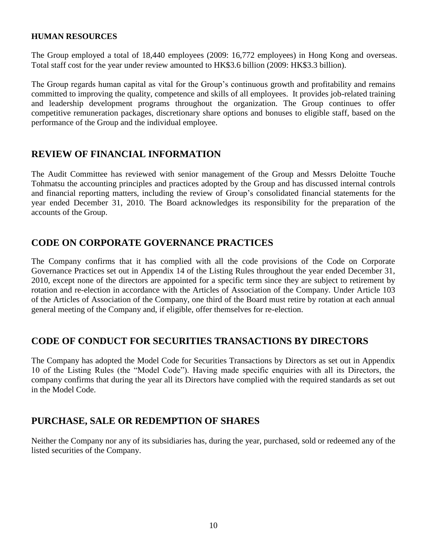### **HUMAN RESOURCES**

The Group employed a total of 18,440 employees (2009: 16,772 employees) in Hong Kong and overseas. Total staff cost for the year under review amounted to HK\$3.6 billion (2009: HK\$3.3 billion).

The Group regards human capital as vital for the Group's continuous growth and profitability and remains committed to improving the quality, competence and skills of all employees. It provides job-related training and leadership development programs throughout the organization. The Group continues to offer competitive remuneration packages, discretionary share options and bonuses to eligible staff, based on the performance of the Group and the individual employee.

## **REVIEW OF FINANCIAL INFORMATION**

The Audit Committee has reviewed with senior management of the Group and Messrs Deloitte Touche Tohmatsu the accounting principles and practices adopted by the Group and has discussed internal controls and financial reporting matters, including the review of Group"s consolidated financial statements for the year ended December 31, 2010. The Board acknowledges its responsibility for the preparation of the accounts of the Group.

# **CODE ON CORPORATE GOVERNANCE PRACTICES**

The Company confirms that it has complied with all the code provisions of the Code on Corporate Governance Practices set out in Appendix 14 of the Listing Rules throughout the year ended December 31, 2010, except none of the directors are appointed for a specific term since they are subject to retirement by rotation and re-election in accordance with the Articles of Association of the Company. Under Article 103 of the Articles of Association of the Company, one third of the Board must retire by rotation at each annual general meeting of the Company and, if eligible, offer themselves for re-election.

# **CODE OF CONDUCT FOR SECURITIES TRANSACTIONS BY DIRECTORS**

The Company has adopted the Model Code for Securities Transactions by Directors as set out in Appendix 10 of the Listing Rules (the "Model Code"). Having made specific enquiries with all its Directors, the company confirms that during the year all its Directors have complied with the required standards as set out in the Model Code.

# **PURCHASE, SALE OR REDEMPTION OF SHARES**

Neither the Company nor any of its subsidiaries has, during the year, purchased, sold or redeemed any of the listed securities of the Company.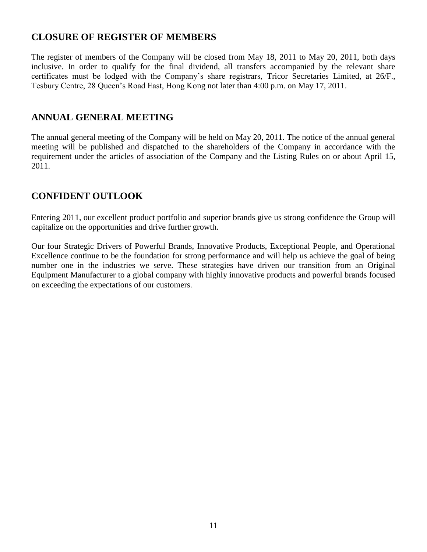# **CLOSURE OF REGISTER OF MEMBERS**

The register of members of the Company will be closed from May 18, 2011 to May 20, 2011, both days inclusive. In order to qualify for the final dividend, all transfers accompanied by the relevant share certificates must be lodged with the Company"s share registrars, Tricor Secretaries Limited, at 26/F., Tesbury Centre, 28 Queen"s Road East, Hong Kong not later than 4:00 p.m. on May 17, 2011.

### **ANNUAL GENERAL MEETING**

The annual general meeting of the Company will be held on May 20, 2011. The notice of the annual general meeting will be published and dispatched to the shareholders of the Company in accordance with the requirement under the articles of association of the Company and the Listing Rules on or about April 15, 2011.

# **CONFIDENT OUTLOOK**

Entering 2011, our excellent product portfolio and superior brands give us strong confidence the Group will capitalize on the opportunities and drive further growth.

Our four Strategic Drivers of Powerful Brands, Innovative Products, Exceptional People, and Operational Excellence continue to be the foundation for strong performance and will help us achieve the goal of being number one in the industries we serve. These strategies have driven our transition from an Original Equipment Manufacturer to a global company with highly innovative products and powerful brands focused on exceeding the expectations of our customers.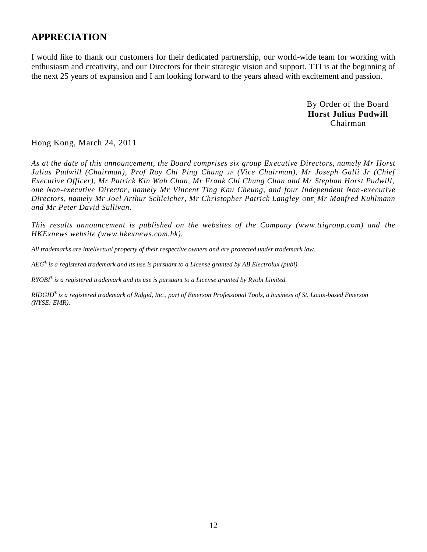# **APPRECIATION**

I would like to thank our customers for their dedicated partnership, our world-wide team for working with enthusiasm and creativity, and our Directors for their strategic vision and support. TTI is at the beginning of the next 25 years of expansion and I am looking forward to the years ahead with excitement and passion.

> By Order of the Board **Horst Julius Pudwill** Chairman

Hong Kong, March 24, 2011

*As at the date of this announcement, the Board comprises six group Ex ecutive Directors, namely Mr Horst Julius Pudwill (Chairman), Prof Roy Chi Ping Chung JP (Vice Chairman), Mr Joseph Galli Jr (Chief Executive Officer), Mr Patrick Kin Wah Chan, Mr Frank Chi Chung Chan and Mr Stephan Horst Pudwill, one Non-executive Director, namely Mr Vincent Ting Kau Cheung, and four Independent Non -executive Directors, namely Mr Joel Arthur Schleicher, Mr Christopher Patrick Langley OBE, Mr Manfred Kuhlmann and Mr Peter David Sullivan.*

*This results announcement is published on the websites of the Company (www.ttigroup.com) and the HKExnews website (www.hkexnews.com.hk).*

*All trademarks are intellectual property of their respective owners and are protected under trademark law.*

*AEG® is a registered trademark and its use is pursuant to a License granted by AB Electrolux (publ).*

*RYOBI® is a registered trademark and its use is pursuant to a License granted by Ryobi Limited.*

*RIDGID® is a registered trademark of Ridgid, Inc., part of Emerson Professional Tools, a business of St. Louis-based Emerson (NYSE: EMR).*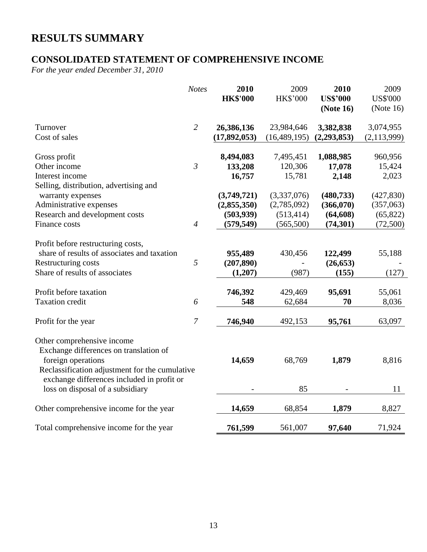# **RESULTS SUMMARY**

# **CONSOLIDATED STATEMENT OF COMPREHENSIVE INCOME**

*For the year ended December 31, 2010*

|                                                                                                                                                                                            | <b>Notes</b>   | 2010<br><b>HK\$'000</b> | 2009<br><b>HK\$'000</b> | 2010<br><b>US\$'000</b><br>(Note 16) | 2009<br><b>US\$'000</b><br>(Note $16$ ) |
|--------------------------------------------------------------------------------------------------------------------------------------------------------------------------------------------|----------------|-------------------------|-------------------------|--------------------------------------|-----------------------------------------|
| Turnover                                                                                                                                                                                   | $\overline{2}$ | 26,386,136              | 23,984,646              | 3,382,838                            | 3,074,955                               |
| Cost of sales                                                                                                                                                                              |                | (17,892,053)            | (16, 489, 195)          | (2, 293, 853)                        | (2,113,999)                             |
| Gross profit                                                                                                                                                                               |                | 8,494,083               | 7,495,451               | 1,088,985                            | 960,956                                 |
| Other income                                                                                                                                                                               | $\mathfrak{Z}$ | 133,208                 | 120,306                 | 17,078                               | 15,424                                  |
| Interest income                                                                                                                                                                            |                | 16,757                  | 15,781                  | 2,148                                | 2,023                                   |
| Selling, distribution, advertising and                                                                                                                                                     |                |                         |                         |                                      |                                         |
| warranty expenses                                                                                                                                                                          |                | (3,749,721)             | (3,337,076)             | (480, 733)                           | (427, 830)                              |
| Administrative expenses                                                                                                                                                                    |                | (2,855,350)             | (2,785,092)             | (366,070)                            | (357,063)                               |
| Research and development costs                                                                                                                                                             |                | (503, 939)              | (513, 414)              | (64, 608)                            | (65, 822)                               |
| Finance costs                                                                                                                                                                              | $\overline{4}$ | (579, 549)              | (565,500)               | (74, 301)                            | (72,500)                                |
| Profit before restructuring costs,<br>share of results of associates and taxation                                                                                                          |                | 955,489                 | 430,456                 | 122,499                              | 55,188                                  |
| Restructuring costs                                                                                                                                                                        | 5              | (207, 890)              |                         | (26, 653)                            |                                         |
| Share of results of associates                                                                                                                                                             |                | (1,207)                 | (987)                   | (155)                                | (127)                                   |
| Profit before taxation                                                                                                                                                                     |                | 746,392                 | 429,469                 | 95,691                               | 55,061                                  |
| <b>Taxation</b> credit                                                                                                                                                                     | 6              | 548                     | 62,684                  | 70                                   | 8,036                                   |
|                                                                                                                                                                                            |                |                         |                         |                                      |                                         |
| Profit for the year                                                                                                                                                                        | 7              | 746,940                 | 492,153                 | 95,761                               | 63,097                                  |
| Other comprehensive income<br>Exchange differences on translation of<br>foreign operations<br>Reclassification adjustment for the cumulative<br>exchange differences included in profit or |                | 14,659                  | 68,769                  | 1,879                                | 8,816                                   |
| loss on disposal of a subsidiary                                                                                                                                                           |                |                         | 85                      |                                      | 11                                      |
| Other comprehensive income for the year                                                                                                                                                    |                | 14,659                  | 68,854                  | 1,879                                | 8,827                                   |
| Total comprehensive income for the year                                                                                                                                                    |                | 761,599                 | 561,007                 | 97,640                               | 71,924                                  |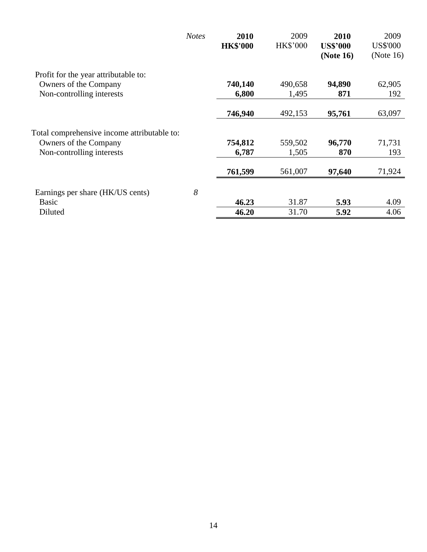|                                             | <b>Notes</b> | 2010<br><b>HK\$'000</b> | 2009<br><b>HK\$'000</b> | 2010<br><b>US\$'000</b><br>(Note 16) | 2009<br><b>US\$'000</b><br>(Note $16$ ) |
|---------------------------------------------|--------------|-------------------------|-------------------------|--------------------------------------|-----------------------------------------|
| Profit for the year attributable to:        |              |                         |                         |                                      |                                         |
| Owners of the Company                       |              | 740,140                 | 490,658                 | 94,890                               | 62,905                                  |
| Non-controlling interests                   |              | 6,800                   | 1,495                   | 871                                  | 192                                     |
|                                             |              | 746,940                 | 492,153                 | 95,761                               | 63,097                                  |
| Total comprehensive income attributable to: |              |                         |                         |                                      |                                         |
| Owners of the Company                       |              | 754,812                 | 559,502                 | 96,770                               | 71,731                                  |
| Non-controlling interests                   |              | 6,787                   | 1,505                   | 870                                  | 193                                     |
|                                             |              | 761,599                 | 561,007                 | 97,640                               | 71,924                                  |
| Earnings per share (HK/US cents)            | 8            |                         |                         |                                      |                                         |
| <b>Basic</b>                                |              | 46.23                   | 31.87                   | 5.93                                 | 4.09                                    |
| Diluted                                     |              | 46.20                   | 31.70                   | 5.92                                 | 4.06                                    |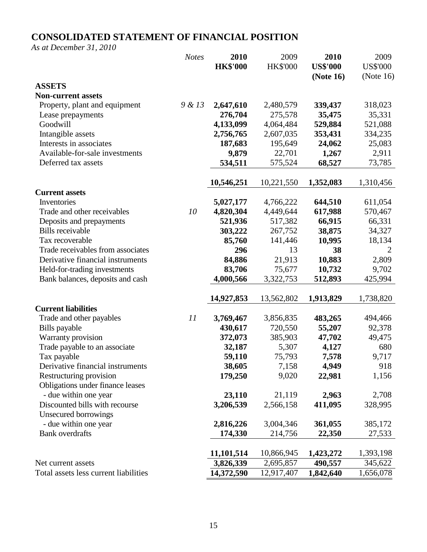# **CONSOLIDATED STATEMENT OF FINANCIAL POSITION**

*As at December 31, 2010*

|                                       | <b>Notes</b> | 2010            | 2009            | 2010            | 2009            |
|---------------------------------------|--------------|-----------------|-----------------|-----------------|-----------------|
|                                       |              | <b>HK\$'000</b> | <b>HK\$'000</b> | <b>US\$'000</b> | <b>US\$'000</b> |
|                                       |              |                 |                 | (Note 16)       | (Note $16$ )    |
| <b>ASSETS</b>                         |              |                 |                 |                 |                 |
| <b>Non-current assets</b>             |              |                 |                 |                 |                 |
| Property, plant and equipment         | 9 & 13       | 2,647,610       | 2,480,579       | 339,437         | 318,023         |
| Lease prepayments                     |              | 276,704         | 275,578         | 35,475          | 35,331          |
| Goodwill                              |              | 4,133,099       | 4,064,484       | 529,884         | 521,088         |
| Intangible assets                     |              | 2,756,765       | 2,607,035       | 353,431         | 334,235         |
| Interests in associates               |              | 187,683         | 195,649         | 24,062          | 25,083          |
| Available-for-sale investments        |              | 9,879           | 22,701          | 1,267           | 2,911           |
| Deferred tax assets                   |              | 534,511         | 575,524         | 68,527          | 73,785          |
|                                       |              |                 |                 |                 |                 |
|                                       |              | 10,546,251      | 10,221,550      | 1,352,083       | 1,310,456       |
| <b>Current assets</b>                 |              |                 |                 |                 |                 |
| Inventories                           |              | 5,027,177       | 4,766,222       | 644,510         | 611,054         |
| Trade and other receivables           | 10           | 4,820,304       | 4,449,644       | 617,988         | 570,467         |
| Deposits and prepayments              |              | 521,936         | 517,382         | 66,915          | 66,331          |
| <b>Bills</b> receivable               |              | 303,222         | 267,752         | 38,875          | 34,327          |
| Tax recoverable                       |              | 85,760          | 141,446         | 10,995          | 18,134          |
| Trade receivables from associates     |              | 296             | 13              | 38              | 2               |
| Derivative financial instruments      |              | 84,886          | 21,913          | 10,883          | 2,809           |
| Held-for-trading investments          |              | 83,706          | 75,677          | 10,732          | 9,702           |
| Bank balances, deposits and cash      |              | 4,000,566       | 3,322,753       | 512,893         | 425,994         |
|                                       |              | 14,927,853      | 13,562,802      | 1,913,829       | 1,738,820       |
| <b>Current liabilities</b>            |              |                 |                 |                 |                 |
| Trade and other payables              | 11           | 3,769,467       | 3,856,835       | 483,265         | 494,466         |
| Bills payable                         |              | 430,617         | 720,550         | 55,207          | 92,378          |
| Warranty provision                    |              | 372,073         | 385,903         | 47,702          | 49,475          |
| Trade payable to an associate         |              | 32,187          | 5,307           | 4,127           | 680             |
| Tax payable                           |              | 59,110          | 75,793          | 7,578           | 9,717           |
| Derivative financial instruments      |              | 38,605          | 7,158           | 4,949           | 918             |
| Restructuring provision               |              | 179,250         | 9,020           | 22,981          | 1,156           |
| Obligations under finance leases      |              |                 |                 |                 |                 |
| - due within one year                 |              | 23,110          | 21,119          | 2,963           | 2,708           |
| Discounted bills with recourse        |              | 3,206,539       | 2,566,158       | 411,095         | 328,995         |
| <b>Unsecured borrowings</b>           |              |                 |                 |                 |                 |
| - due within one year                 |              | 2,816,226       | 3,004,346       | 361,055         | 385,172         |
| <b>Bank</b> overdrafts                |              | 174,330         | 214,756         | 22,350          | 27,533          |
|                                       |              |                 |                 |                 |                 |
|                                       |              | 11,101,514      | 10,866,945      | 1,423,272       | 1,393,198       |
| Net current assets                    |              | 3,826,339       | 2,695,857       | 490,557         | 345,622         |
| Total assets less current liabilities |              | 14,372,590      | 12,917,407      | 1,842,640       | 1,656,078       |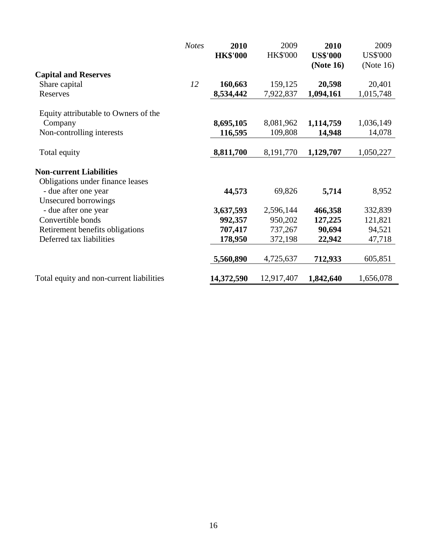|                                                                    | <b>Notes</b> | 2010<br><b>HK\$'000</b> | 2009<br><b>HK\$'000</b> | 2010<br><b>US\$'000</b><br>(Note 16) | 2009<br><b>US\$'000</b><br>(Note $16$ ) |
|--------------------------------------------------------------------|--------------|-------------------------|-------------------------|--------------------------------------|-----------------------------------------|
| <b>Capital and Reserves</b>                                        |              |                         |                         |                                      |                                         |
| Share capital                                                      | 12           | 160,663                 | 159,125                 | 20,598                               | 20,401                                  |
| Reserves                                                           |              | 8,534,442               | 7,922,837               | 1,094,161                            | 1,015,748                               |
| Equity attributable to Owners of the                               |              |                         |                         |                                      |                                         |
| Company                                                            |              | 8,695,105               | 8,081,962               | 1,114,759                            | 1,036,149                               |
| Non-controlling interests                                          |              | 116,595                 | 109,808                 | 14,948                               | 14,078                                  |
| Total equity                                                       |              | 8,811,700               | 8,191,770               | 1,129,707                            | 1,050,227                               |
| <b>Non-current Liabilities</b><br>Obligations under finance leases |              |                         |                         |                                      |                                         |
| - due after one year<br>Unsecured borrowings                       |              | 44,573                  | 69,826                  | 5,714                                | 8,952                                   |
| - due after one year                                               |              | 3,637,593               | 2,596,144               | 466,358                              | 332,839                                 |
| Convertible bonds                                                  |              | 992,357                 | 950,202                 | 127,225                              | 121,821                                 |
| Retirement benefits obligations                                    |              | 707,417                 | 737,267                 | 90,694                               | 94,521                                  |
| Deferred tax liabilities                                           |              | 178,950                 | 372,198                 | 22,942                               | 47,718                                  |
|                                                                    |              | 5,560,890               | 4,725,637               | 712,933                              | 605,851                                 |
| Total equity and non-current liabilities                           |              | 14,372,590              | 12,917,407              | 1,842,640                            | 1,656,078                               |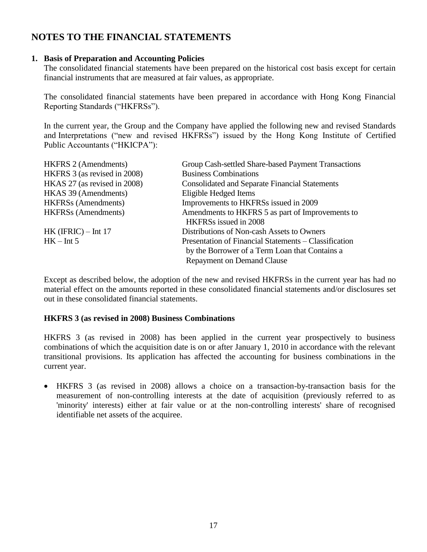# **NOTES TO THE FINANCIAL STATEMENTS**

### **1. Basis of Preparation and Accounting Policies**

The consolidated financial statements have been prepared on the historical cost basis except for certain financial instruments that are measured at fair values, as appropriate.

The consolidated financial statements have been prepared in accordance with Hong Kong Financial Reporting Standards ("HKFRSs").

In the current year, the Group and the Company have applied the following new and revised Standards and Interpretations ("new and revised HKFRSs") issued by the Hong Kong Institute of Certified Public Accountants ("HKICPA"):

| <b>HKFRS 2 (Amendments)</b>  | Group Cash-settled Share-based Payment Transactions   |
|------------------------------|-------------------------------------------------------|
| HKFRS 3 (as revised in 2008) | <b>Business Combinations</b>                          |
| HKAS 27 (as revised in 2008) | <b>Consolidated and Separate Financial Statements</b> |
| HKAS 39 (Amendments)         | Eligible Hedged Items                                 |
| <b>HKFRSs</b> (Amendments)   | Improvements to HKFRSs issued in 2009                 |
| <b>HKFRSs</b> (Amendments)   | Amendments to HKFRS 5 as part of Improvements to      |
|                              | HKFRSs issued in 2008                                 |
| $HK$ (IFRIC) – Int 17        | Distributions of Non-cash Assets to Owners            |
| $HK - Int 5$                 | Presentation of Financial Statements – Classification |
|                              | by the Borrower of a Term Loan that Contains a        |
|                              | <b>Repayment on Demand Clause</b>                     |

Except as described below, the adoption of the new and revised HKFRSs in the current year has had no material effect on the amounts reported in these consolidated financial statements and/or disclosures set out in these consolidated financial statements.

### **HKFRS 3 (as revised in 2008) Business Combinations**

HKFRS 3 (as revised in 2008) has been applied in the current year prospectively to business combinations of which the acquisition date is on or after January 1, 2010 in accordance with the relevant transitional provisions. Its application has affected the accounting for business combinations in the current year.

 HKFRS 3 (as revised in 2008) allows a choice on a transaction-by-transaction basis for the measurement of non-controlling interests at the date of acquisition (previously referred to as 'minority' interests) either at fair value or at the non-controlling interests' share of recognised identifiable net assets of the acquiree.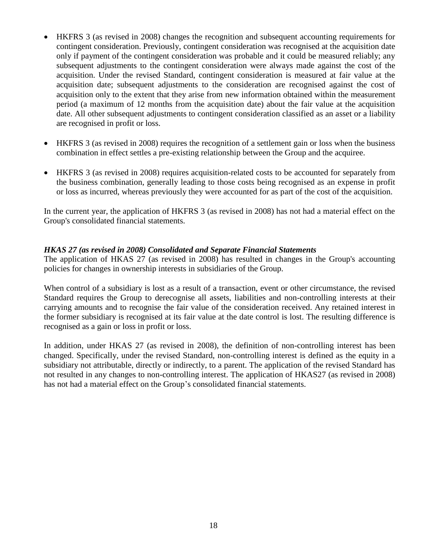- HKFRS 3 (as revised in 2008) changes the recognition and subsequent accounting requirements for contingent consideration. Previously, contingent consideration was recognised at the acquisition date only if payment of the contingent consideration was probable and it could be measured reliably; any subsequent adjustments to the contingent consideration were always made against the cost of the acquisition. Under the revised Standard, contingent consideration is measured at fair value at the acquisition date; subsequent adjustments to the consideration are recognised against the cost of acquisition only to the extent that they arise from new information obtained within the measurement period (a maximum of 12 months from the acquisition date) about the fair value at the acquisition date. All other subsequent adjustments to contingent consideration classified as an asset or a liability are recognised in profit or loss.
- HKFRS 3 (as revised in 2008) requires the recognition of a settlement gain or loss when the business combination in effect settles a pre-existing relationship between the Group and the acquiree.
- HKFRS 3 (as revised in 2008) requires acquisition-related costs to be accounted for separately from the business combination, generally leading to those costs being recognised as an expense in profit or loss as incurred, whereas previously they were accounted for as part of the cost of the acquisition.

In the current year, the application of HKFRS 3 (as revised in 2008) has not had a material effect on the Group's consolidated financial statements.

#### *HKAS 27 (as revised in 2008) Consolidated and Separate Financial Statements*

The application of HKAS 27 (as revised in 2008) has resulted in changes in the Group's accounting policies for changes in ownership interests in subsidiaries of the Group.

When control of a subsidiary is lost as a result of a transaction, event or other circumstance, the revised Standard requires the Group to derecognise all assets, liabilities and non-controlling interests at their carrying amounts and to recognise the fair value of the consideration received. Any retained interest in the former subsidiary is recognised at its fair value at the date control is lost. The resulting difference is recognised as a gain or loss in profit or loss.

In addition, under HKAS 27 (as revised in 2008), the definition of non-controlling interest has been changed. Specifically, under the revised Standard, non-controlling interest is defined as the equity in a subsidiary not attributable, directly or indirectly, to a parent. The application of the revised Standard has not resulted in any changes to non-controlling interest. The application of HKAS27 (as revised in 2008) has not had a material effect on the Group"s consolidated financial statements.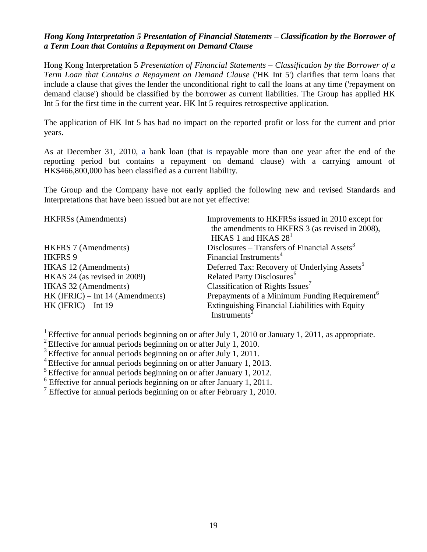#### *Hong Kong Interpretation 5 Presentation of Financial Statements – Classification by the Borrower of a Term Loan that Contains a Repayment on Demand Clause*

Hong Kong Interpretation 5 *Presentation of Financial Statements – Classification by the Borrower of a Term Loan that Contains a Repayment on Demand Clause* ('HK Int 5') clarifies that term loans that include a clause that gives the lender the unconditional right to call the loans at any time ('repayment on demand clause') should be classified by the borrower as current liabilities. The Group has applied HK Int 5 for the first time in the current year. HK Int 5 requires retrospective application.

The application of HK Int 5 has had no impact on the reported profit or loss for the current and prior years.

As at December 31, 2010, a bank loan (that is repayable more than one year after the end of the reporting period but contains a repayment on demand clause) with a carrying amount of HK\$466,800,000 has been classified as a current liability.

The Group and the Company have not early applied the following new and revised Standards and Interpretations that have been issued but are not yet effective:

| <b>HKFRSs</b> (Amendments)         | Improvements to HKFRSs issued in 2010 except for<br>the amendments to HKFRS 3 (as revised in 2008),<br>HKAS 1 and HKAS $281$ |
|------------------------------------|------------------------------------------------------------------------------------------------------------------------------|
| <b>HKFRS</b> 7 (Amendments)        | Disclosures – Transfers of Financial Assets $3$                                                                              |
| HKFRS 9                            | Financial Instruments <sup>4</sup>                                                                                           |
| HKAS 12 (Amendments)               | Deferred Tax: Recovery of Underlying Assets <sup>5</sup>                                                                     |
| HKAS 24 (as revised in 2009)       | Related Party Disclosures <sup>6</sup>                                                                                       |
| HKAS 32 (Amendments)               | Classification of Rights Issues <sup>7</sup>                                                                                 |
| $HK$ (IFRIC) – Int 14 (Amendments) | Prepayments of a Minimum Funding Requirement <sup>6</sup>                                                                    |
| $HK$ (IFRIC) – Int 19              | Extinguishing Financial Liabilities with Equity<br>Instruments                                                               |
|                                    |                                                                                                                              |

<sup>1</sup> Effective for annual periods beginning on or after July 1, 2010 or January 1, 2011, as appropriate.

<sup>2</sup> Effective for annual periods beginning on or after July 1, 2010.

<sup>3</sup> Effective for annual periods beginning on or after July 1, 2011.

<sup>4</sup> Effective for annual periods beginning on or after January 1, 2013.

<sup>5</sup> Effective for annual periods beginning on or after January 1, 2012.

<sup>6</sup> Effective for annual periods beginning on or after January 1, 2011.

<sup>7</sup> Effective for annual periods beginning on or after February 1, 2010.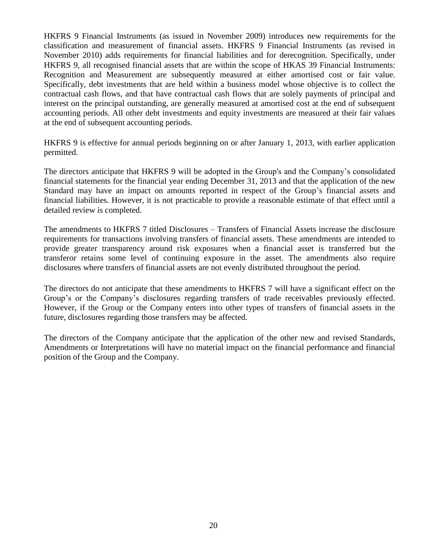HKFRS 9 Financial Instruments (as issued in November 2009) introduces new requirements for the classification and measurement of financial assets. HKFRS 9 Financial Instruments (as revised in November 2010) adds requirements for financial liabilities and for derecognition. Specifically, under HKFRS 9, all recognised financial assets that are within the scope of HKAS 39 Financial Instruments: Recognition and Measurement are subsequently measured at either amortised cost or fair value. Specifically, debt investments that are held within a business model whose objective is to collect the contractual cash flows, and that have contractual cash flows that are solely payments of principal and interest on the principal outstanding, are generally measured at amortised cost at the end of subsequent accounting periods. All other debt investments and equity investments are measured at their fair values at the end of subsequent accounting periods.

HKFRS 9 is effective for annual periods beginning on or after January 1, 2013, with earlier application permitted.

The directors anticipate that HKFRS 9 will be adopted in the Group's and the Company"s consolidated financial statements for the financial year ending December 31, 2013 and that the application of the new Standard may have an impact on amounts reported in respect of the Group's financial assets and financial liabilities. However, it is not practicable to provide a reasonable estimate of that effect until a detailed review is completed.

The amendments to HKFRS 7 titled Disclosures – Transfers of Financial Assets increase the disclosure requirements for transactions involving transfers of financial assets. These amendments are intended to provide greater transparency around risk exposures when a financial asset is transferred but the transferor retains some level of continuing exposure in the asset. The amendments also require disclosures where transfers of financial assets are not evenly distributed throughout the period.

The directors do not anticipate that these amendments to HKFRS 7 will have a significant effect on the Group"s or the Company"s disclosures regarding transfers of trade receivables previously effected. However, if the Group or the Company enters into other types of transfers of financial assets in the future, disclosures regarding those transfers may be affected.

The directors of the Company anticipate that the application of the other new and revised Standards, Amendments or Interpretations will have no material impact on the financial performance and financial position of the Group and the Company.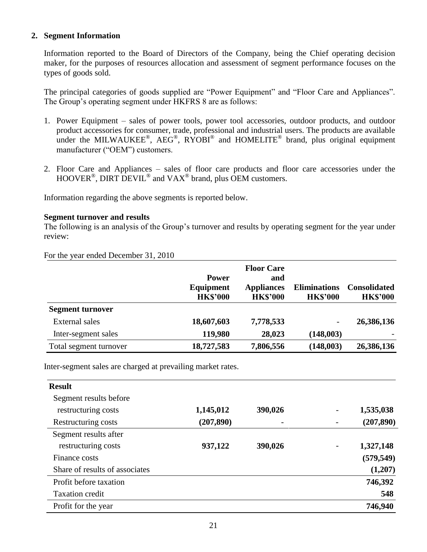### **2. Segment Information**

Information reported to the Board of Directors of the Company, being the Chief operating decision maker, for the purposes of resources allocation and assessment of segment performance focuses on the types of goods sold.

The principal categories of goods supplied are "Power Equipment" and "Floor Care and Appliances". The Group's operating segment under HKFRS 8 are as follows:

- 1. Power Equipment sales of power tools, power tool accessories, outdoor products, and outdoor product accessories for consumer, trade, professional and industrial users. The products are available under the MILWAUKEE®, AEG®, RYOBI® and HOMELITE® brand, plus original equipment manufacturer ("OEM") customers.
- 2. Floor Care and Appliances sales of floor care products and floor care accessories under the  $HOOVER^{\circ}$ , DIRT DEVIL $^{\circ}$  and VAX $^{\circ}$  brand, plus OEM customers.

Information regarding the above segments is reported below.

#### **Segment turnover and results**

The following is an analysis of the Group's turnover and results by operating segment for the year under review:

For the year ended December 31, 2010

|                         | <b>Power</b>                 | <b>Floor Care</b><br>and             |                                        |                                        |
|-------------------------|------------------------------|--------------------------------------|----------------------------------------|----------------------------------------|
|                         | Equipment<br><b>HK\$'000</b> | <b>Appliances</b><br><b>HK\$'000</b> | <b>Eliminations</b><br><b>HK\$'000</b> | <b>Consolidated</b><br><b>HK\$'000</b> |
| <b>Segment turnover</b> |                              |                                      |                                        |                                        |
| External sales          | 18,607,603                   | 7,778,533                            | $\overline{\phantom{m}}$               | 26,386,136                             |
| Inter-segment sales     | 119,980                      | 28,023                               | (148,003)                              |                                        |
| Total segment turnover  | 18,727,583                   | 7,806,556                            | (148,003)                              | 26,386,136                             |

Inter-segment sales are charged at prevailing market rates.

| <b>Result</b>                  |            |         |            |
|--------------------------------|------------|---------|------------|
| Segment results before         |            |         |            |
| restructuring costs            | 1,145,012  | 390,026 | 1,535,038  |
| Restructuring costs            | (207, 890) |         | (207, 890) |
| Segment results after          |            |         |            |
| restructuring costs            | 937,122    | 390,026 | 1,327,148  |
| Finance costs                  |            |         | (579, 549) |
| Share of results of associates |            |         | (1,207)    |
| Profit before taxation         |            |         | 746,392    |
| <b>Taxation</b> credit         |            |         | 548        |
| Profit for the year            |            |         | 746,940    |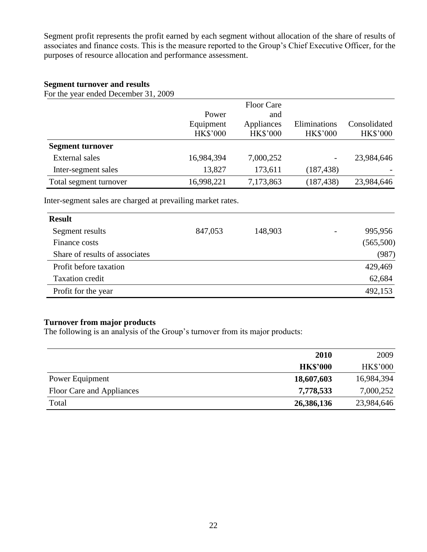Segment profit represents the profit earned by each segment without allocation of the share of results of associates and finance costs. This is the measure reported to the Group"s Chief Executive Officer, for the purposes of resource allocation and performance assessment.

#### **Segment turnover and results**

For the year ended December 31, 2009

|                         |                 | <b>Floor Care</b> |                 |                 |
|-------------------------|-----------------|-------------------|-----------------|-----------------|
|                         | Power           | and               |                 |                 |
|                         | Equipment       | Appliances        | Eliminations    | Consolidated    |
|                         | <b>HK\$'000</b> | <b>HK\$'000</b>   | <b>HK\$'000</b> | <b>HK\$'000</b> |
| <b>Segment turnover</b> |                 |                   |                 |                 |
| <b>External sales</b>   | 16,984,394      | 7,000,252         | -               | 23,984,646      |
| Inter-segment sales     | 13,827          | 173,611           | (187, 438)      |                 |
| Total segment turnover  | 16,998,221      | 7,173,863         | (187, 438)      | 23,984,646      |

Inter-segment sales are charged at prevailing market rates.

| <b>Result</b>                  |         |         |           |
|--------------------------------|---------|---------|-----------|
| Segment results                | 847,053 | 148,903 | 995,956   |
| Finance costs                  |         |         | (565,500) |
| Share of results of associates |         |         | (987)     |
| Profit before taxation         |         |         | 429,469   |
| <b>Taxation</b> credit         |         |         | 62,684    |
| Profit for the year            |         |         | 492,153   |

#### **Turnover from major products**

The following is an analysis of the Group's turnover from its major products:

|                           | 2010            | 2009            |
|---------------------------|-----------------|-----------------|
|                           | <b>HK\$'000</b> | <b>HK\$'000</b> |
| <b>Power Equipment</b>    | 18,607,603      | 16,984,394      |
| Floor Care and Appliances | 7,778,533       | 7,000,252       |
| Total                     | 26,386,136      | 23,984,646      |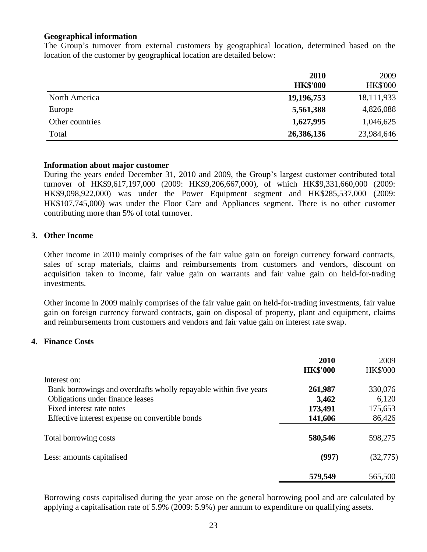#### **Geographical information**

The Group's turnover from external customers by geographical location, determined based on the location of the customer by geographical location are detailed below:

|                 | 2010<br><b>HK\$'000</b> | 2009<br><b>HK\$'000</b> |
|-----------------|-------------------------|-------------------------|
| North America   | 19,196,753              | 18,111,933              |
| Europe          | 5,561,388               | 4,826,088               |
| Other countries | 1,627,995               | 1,046,625               |
| Total           | 26,386,136              | 23,984,646              |

#### **Information about major customer**

During the years ended December 31, 2010 and 2009, the Group"s largest customer contributed total turnover of HK\$9,617,197,000 (2009: HK\$9,206,667,000), of which HK\$9,331,660,000 (2009: HK\$9,098,922,000) was under the Power Equipment segment and HK\$285,537,000 (2009: HK\$107,745,000) was under the Floor Care and Appliances segment. There is no other customer contributing more than 5% of total turnover.

#### **3. Other Income**

Other income in 2010 mainly comprises of the fair value gain on foreign currency forward contracts, sales of scrap materials, claims and reimbursements from customers and vendors, discount on acquisition taken to income, fair value gain on warrants and fair value gain on held-for-trading investments.

Other income in 2009 mainly comprises of the fair value gain on held-for-trading investments, fair value gain on foreign currency forward contracts, gain on disposal of property, plant and equipment, claims and reimbursements from customers and vendors and fair value gain on interest rate swap.

### **4. Finance Costs**

|                                                                   | 2010<br><b>HK\$'000</b> | 2009<br><b>HK\$'000</b> |
|-------------------------------------------------------------------|-------------------------|-------------------------|
| Interest on:                                                      |                         |                         |
| Bank borrowings and overdrafts wholly repayable within five years | 261,987                 | 330,076                 |
| Obligations under finance leases                                  | 3,462                   | 6,120                   |
| Fixed interest rate notes                                         | 173,491                 | 175,653                 |
| Effective interest expense on convertible bonds                   | 141,606                 | 86,426                  |
| Total borrowing costs                                             | 580,546                 | 598,275                 |
| Less: amounts capitalised                                         | (997)                   | (32, 775)               |
|                                                                   | 579,549                 | 565,500                 |

Borrowing costs capitalised during the year arose on the general borrowing pool and are calculated by applying a capitalisation rate of 5.9% (2009: 5.9%) per annum to expenditure on qualifying assets.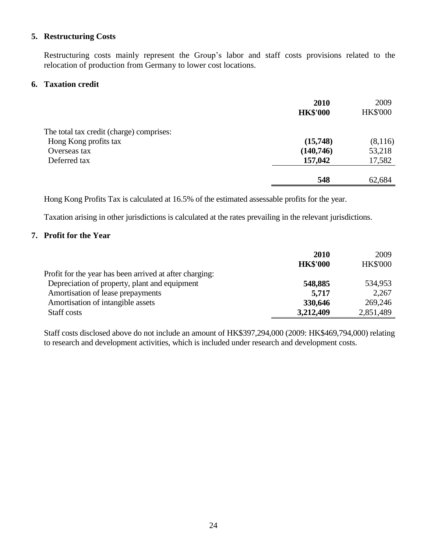### **5. Restructuring Costs**

Restructuring costs mainly represent the Group"s labor and staff costs provisions related to the relocation of production from Germany to lower cost locations.

### **6. Taxation credit**

|                                          | 2010<br><b>HK\$'000</b> | 2009<br><b>HK\$'000</b> |
|------------------------------------------|-------------------------|-------------------------|
| The total tax credit (charge) comprises: |                         |                         |
| Hong Kong profits tax                    | (15,748)                | (8,116)                 |
| Overseas tax                             | (140,746)               | 53,218                  |
| Deferred tax                             | 157,042                 | 17,582                  |
|                                          | 548                     | 62,684                  |
|                                          |                         |                         |

Hong Kong Profits Tax is calculated at 16.5% of the estimated assessable profits for the year.

Taxation arising in other jurisdictions is calculated at the rates prevailing in the relevant jurisdictions.

### **7. Profit for the Year**

|                                                         | 2010            | 2009            |
|---------------------------------------------------------|-----------------|-----------------|
|                                                         | <b>HK\$'000</b> | <b>HK\$'000</b> |
| Profit for the year has been arrived at after charging: |                 |                 |
| Depreciation of property, plant and equipment           | 548,885         | 534,953         |
| Amortisation of lease prepayments                       | 5,717           | 2,267           |
| Amortisation of intangible assets                       | 330,646         | 269,246         |
| Staff costs                                             | 3,212,409       | 2,851,489       |

Staff costs disclosed above do not include an amount of HK\$397,294,000 (2009: HK\$469,794,000) relating to research and development activities, which is included under research and development costs.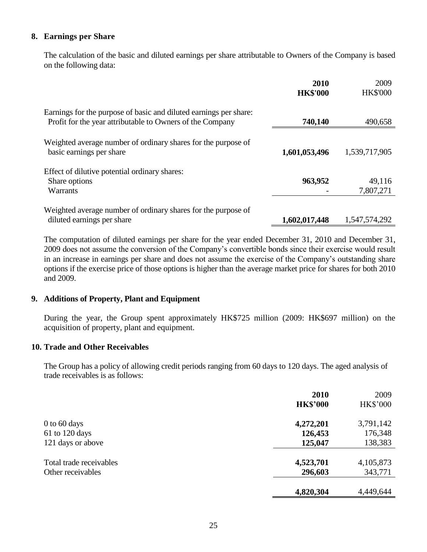### **8. Earnings per Share**

The calculation of the basic and diluted earnings per share attributable to Owners of the Company is based on the following data:

|                                                                                                                                | 2010<br><b>HK\$'000</b> | 2009<br><b>HK\$'000</b> |
|--------------------------------------------------------------------------------------------------------------------------------|-------------------------|-------------------------|
| Earnings for the purpose of basic and diluted earnings per share:<br>Profit for the year attributable to Owners of the Company | 740,140                 | 490,658                 |
| Weighted average number of ordinary shares for the purpose of<br>basic earnings per share                                      | 1,601,053,496           | 1,539,717,905           |
| Effect of dilutive potential ordinary shares:<br>Share options<br>Warrants                                                     | 963,952                 | 49,116<br>7,807,271     |
| Weighted average number of ordinary shares for the purpose of<br>diluted earnings per share                                    | 1,602,017,448           | 1,547,574,292           |

The computation of diluted earnings per share for the year ended December 31, 2010 and December 31, 2009 does not assume the conversion of the Company"s convertible bonds since their exercise would result in an increase in earnings per share and does not assume the exercise of the Company"s outstanding share options if the exercise price of those options is higher than the average market price for shares for both 2010 and 2009.

#### **9. Additions of Property, Plant and Equipment**

During the year, the Group spent approximately HK\$725 million (2009: HK\$697 million) on the acquisition of property, plant and equipment.

#### **10. Trade and Other Receivables**

The Group has a policy of allowing credit periods ranging from 60 days to 120 days. The aged analysis of trade receivables is as follows:

|                         | 2010<br><b>HK\$'000</b> | 2009<br><b>HK\$'000</b> |
|-------------------------|-------------------------|-------------------------|
| $0$ to 60 days          | 4,272,201               | 3,791,142               |
| 61 to 120 days          | 126,453                 | 176,348                 |
| 121 days or above       | 125,047                 | 138,383                 |
| Total trade receivables | 4,523,701               | 4,105,873               |
| Other receivables       | 296,603                 | 343,771                 |
|                         | 4,820,304               | 4,449,644               |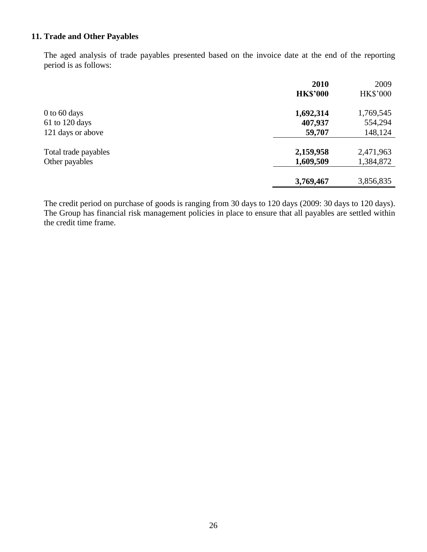### **11. Trade and Other Payables**

The aged analysis of trade payables presented based on the invoice date at the end of the reporting period is as follows:

|                      | 2010            | 2009            |
|----------------------|-----------------|-----------------|
|                      | <b>HK\$'000</b> | <b>HK\$'000</b> |
| $0$ to 60 days       | 1,692,314       | 1,769,545       |
| $61$ to 120 days     | 407,937         | 554,294         |
| 121 days or above    | 59,707          | 148,124         |
| Total trade payables | 2,159,958       | 2,471,963       |
| Other payables       | 1,609,509       | 1,384,872       |
|                      | 3,769,467       | 3,856,835       |
|                      |                 |                 |

The credit period on purchase of goods is ranging from 30 days to 120 days (2009: 30 days to 120 days). The Group has financial risk management policies in place to ensure that all payables are settled within the credit time frame.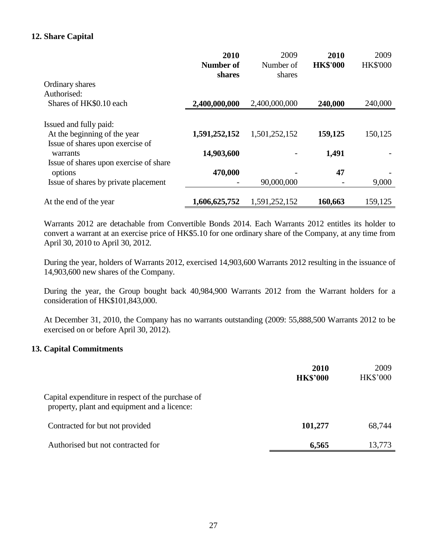### **12. Share Capital**

|                                                        | 2010          | 2009          | 2010            | 2009            |
|--------------------------------------------------------|---------------|---------------|-----------------|-----------------|
|                                                        | Number of     | Number of     | <b>HK\$'000</b> | <b>HK\$'000</b> |
|                                                        | <b>shares</b> | shares        |                 |                 |
| Ordinary shares                                        |               |               |                 |                 |
| Authorised:                                            |               |               |                 |                 |
| Shares of HK\$0.10 each                                | 2,400,000,000 | 2,400,000,000 | 240,000         | 240,000         |
| Issued and fully paid:<br>At the beginning of the year | 1,591,252,152 | 1,501,252,152 | 159,125         | 150,125         |
| Issue of shares upon exercise of<br>warrants           | 14,903,600    |               | 1,491           |                 |
| Issue of shares upon exercise of share<br>options      | 470,000       |               | 47              |                 |
| Issue of shares by private placement                   |               | 90,000,000    |                 | 9,000           |
| At the end of the year                                 | 1,606,625,752 | 1,591,252,152 | 160,663         | 159,125         |

Warrants 2012 are detachable from Convertible Bonds 2014. Each Warrants 2012 entitles its holder to convert a warrant at an exercise price of HK\$5.10 for one ordinary share of the Company, at any time from April 30, 2010 to April 30, 2012.

During the year, holders of Warrants 2012, exercised 14,903,600 Warrants 2012 resulting in the issuance of 14,903,600 new shares of the Company.

During the year, the Group bought back 40,984,900 Warrants 2012 from the Warrant holders for a consideration of HK\$101,843,000.

At December 31, 2010, the Company has no warrants outstanding (2009: 55,888,500 Warrants 2012 to be exercised on or before April 30, 2012).

#### **13. Capital Commitments**

|                                                                                                   | 2010<br><b>HK\$'000</b> | 2009<br><b>HK\$'000</b> |
|---------------------------------------------------------------------------------------------------|-------------------------|-------------------------|
| Capital expenditure in respect of the purchase of<br>property, plant and equipment and a licence: |                         |                         |
| Contracted for but not provided                                                                   | 101,277                 | 68,744                  |
| Authorised but not contracted for                                                                 | 6,565                   | 13,773                  |